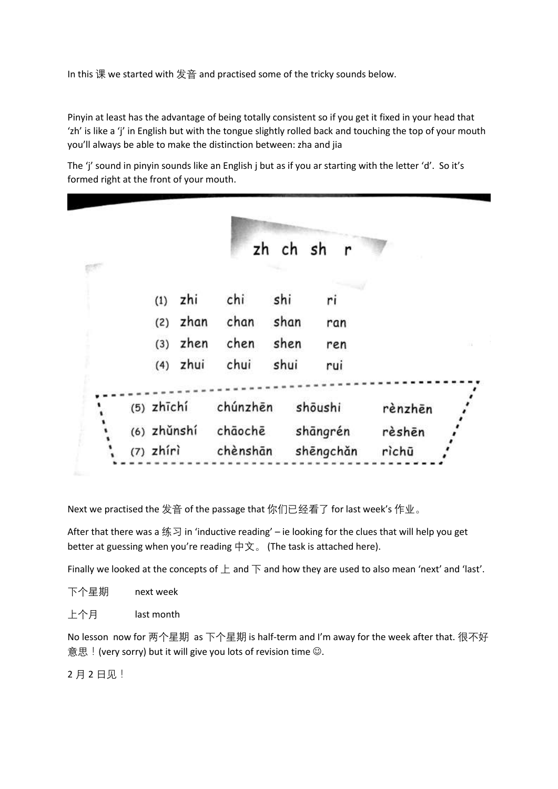In this 课 we started with 发音 and practised some of the tricky sounds below.

Pinyin at least has the advantage of being totally consistent so if you get it fixed in your head that 'zh' is like a 'j' in English but with the tongue slightly rolled back and touching the top of your mouth you'll always be able to make the distinction between: zha and jia

The 'j' sound in pinyin sounds like an English j but as if you ar starting with the letter 'd'. So it's formed right at the front of your mouth.

|  |              |      |          | zh ch sh | $\mathbf{r}$ |         |  |
|--|--------------|------|----------|----------|--------------|---------|--|
|  |              |      |          |          |              |         |  |
|  | (1)          | zhi  | chi      | shi      | ri           |         |  |
|  | (2)          | zhan | chan     | shan     | ran          |         |  |
|  | (3)          | zhen | chen     | shen     | ren          |         |  |
|  | (4)          | zhui | chui     | shui     | rui          |         |  |
|  |              |      |          |          |              |         |  |
|  | $(5)$ zhīchí |      | chúnzhēn |          | shōushi      | rènzhēn |  |
|  | (6) zhǔnshí  |      | chāochē  |          | shāngrén     | rèshēn  |  |
|  | $(7)$ zhíri  |      | chènshān |          | shēngchǎn    | rìchū   |  |

Next we practised the 发音 of the passage that 你们已经看了 for last week's 作业。

After that there was a 练习 in 'inductive reading' – ie looking for the clues that will help you get better at guessing when you're reading 中文。 (The task is attached here).

Finally we looked at the concepts of  $\pm$  and  $\overline{\uparrow}$  and how they are used to also mean 'next' and 'last'.

上个月 last month

No lesson now for 两个星期 as 下个星期 is half-term and I'm away for the week after that. 很不好 意思! (very sorry) but it will give you lots of revision time  $\odot$ .

2 月 2 日见!